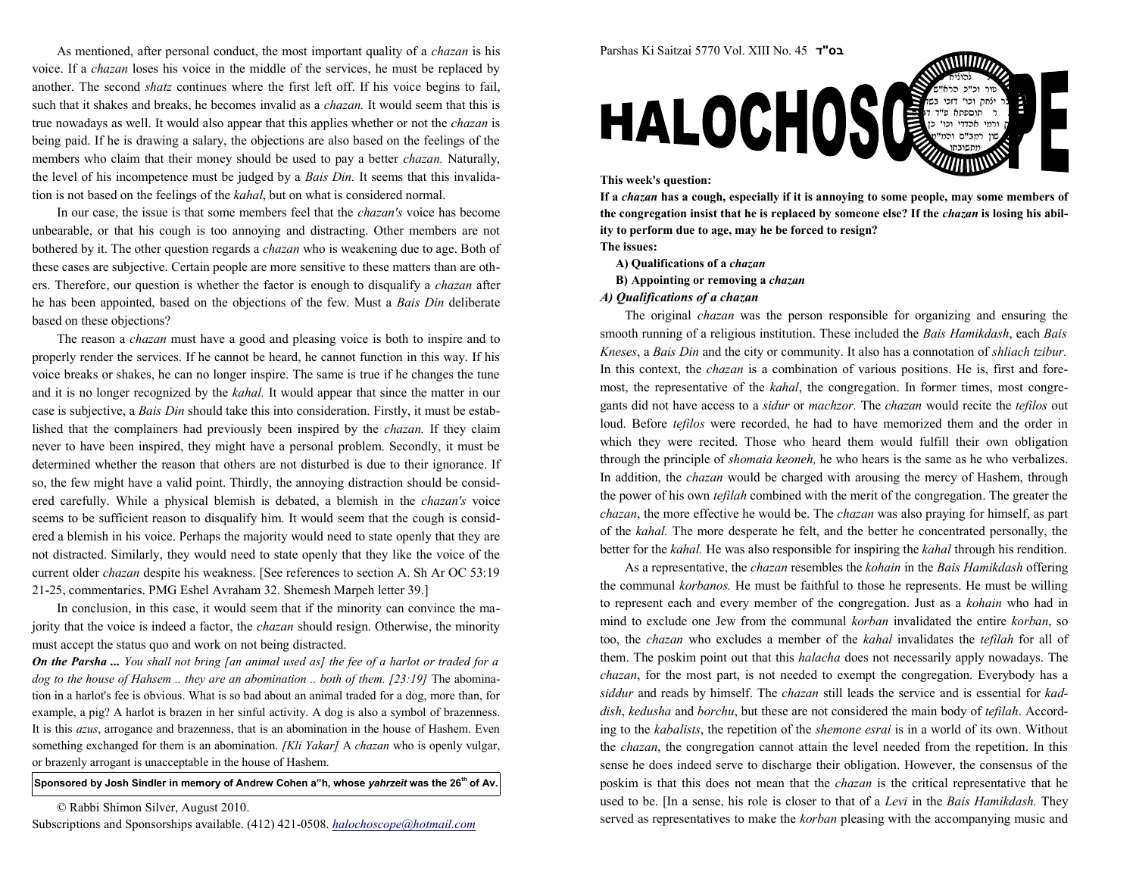As mentioned, after personal conduct, the most important quality of a *chazan* is his voice. If a chazan loses his voice in the middle of the services, he must be replaced byanother. The second shatz continues where the first left off. If his voice begins to fail, such that it shakes and breaks, he becomes invalid as a *chazan*. It would seem that this is true nowadays as well. It would also appear that this applies whether or not the *chazan* is being paid. If he is drawing a salary, the objections are also based on the feelings of themembers who claim that their money should be used to pay a better *chazan*. Naturally, the level of his incompetence must be judged by a *Bais Din*. It seems that this invalidation is not based on the feelings of the kahal, but on what is considered normal.

In our case, the issue is that some members feel that the *chazan's* voice has become unbearable, or that his cough is too annoying and distracting. Other members are notbothered by it. The other question regards a *chazan* who is weakening due to age. Both of these cases are subjective. Certain people are more sensitive to these matters than are others. Therefore, our question is whether the factor is enough to disqualify a chazan afterhe has been appointed, based on the objections of the few. Must a *Bais Din* deliberate based on these objections?

The reason a *chazan* must have a good and pleasing voice is both to inspire and to properly render the services. If he cannot be heard, he cannot function in this way. If hisvoice breaks or shakes, he can no longer inspire. The same is true if he changes the tuneand it is no longer recognized by the *kahal*. It would appear that since the matter in our case is subjective, a Bais Din should take this into consideration. Firstly, it must be established that the complainers had previously been inspired by the chazan. If they claim never to have been inspired, they might have a personal problem. Secondly, it must be determined whether the reason that others are not disturbed is due to their ignorance. Ifso, the few might have a valid point. Thirdly, the annoying distraction should be considered carefully. While a physical blemish is debated, a blemish in the chazan's voice seems to be sufficient reason to disqualify him. It would seem that the cough is considered a blemish in his voice. Perhaps the majority would need to state openly that they are not distracted. Similarly, they would need to state openly that they like the voice of thecurrent older *chazan* despite his weakness. [See references to section A. Sh Ar OC 53:19 21-25, commentaries. PMG Eshel Avraham 32. Shemesh Marpeh letter 39.]

In conclusion, in this case, it would seem that if the minority can convince the majority that the voice is indeed a factor, the chazan should resign. Otherwise, the minoritymust accept the status quo and work on not being distracted.

**On the Parsha ...** You shall not bring [an animal used as] the fee of a harlot or traded for a dog to the house of Hahsem .. they are an abomination .. both of them. [23:19] The abomination in a harlot's fee is obvious. What is so bad about an animal traded for a dog, more than, forexample, a pig? A harlot is brazen in her sinful activity. A dog is also a symbol of brazenness.It is this azus, arrogance and brazenness, that is an abomination in the house of Hashem. Evensomething exchanged for them is an abomination. [Kli Yakar] A chazan who is openly vulgar, or brazenly arrogant is unacceptable in the house of Hashem.

## Sponsored by Josh Sindler in memory of Andrew Cohen a"h, whose yahrzeit was the 26<sup>th</sup> of Av.

© Rabbi Shimon Silver, August 2010.



Parshas Ki Saitzai 5770 Vol. XIII No. 45 <sup>ד</sup>"בס

the congregation insist that he is replaced by someone else? If the chazan is losing his ability to perform due to age, may he be forced to resign?The issues:

 $\epsilon$  this case  $\epsilon$ טור וכ"כ הרא"ש בר ילחק וכו' דזכי בשה

- A) Qualifications of a chazan
- B) Appointing or removing a chazan
- A) Qualifications of a chazan

The original *chazan* was the person responsible for organizing and ensuring the smooth running of a religious institution. These included the Bais Hamikdash, each BaisKneses, a Bais Din and the city or community. It also has a connotation of shliach tzibur. In this context, the *chazan* is a combination of various positions. He is, first and foremost, the representative of the *kahal*, the congregation. In former times, most congregants did not have access to a sidur or machzor. The chazan would recite the tefilos outloud. Before *tefilos* were recorded, he had to have memorized them and the order in which they were recited. Those who heard them would fulfill their own obligation through the principle of shomaia keoneh, he who hears is the same as he who verbalizes.In addition, the *chazan* would be charged with arousing the mercy of Hashem, through the power of his own *tefilah* combined with the merit of the congregation. The greater the chazan, the more effective he would be. The chazan was also praying for himself, as part of the kahal. The more desperate he felt, and the better he concentrated personally, thebetter for the kahal. He was also responsible for inspiring the kahal through his rendition.

As a representative, the *chazan* resembles the *kohain* in the *Bais Hamikdash* offering the communal korbanos. He must be faithful to those he represents. He must be willing to represent each and every member of the congregation. Just as a kohain who had in mind to exclude one Jew from the communal korban invalidated the entire korban, so too, the chazan who excludes a member of the kahal invalidates the tefilah for all of them. The poskim point out that this halacha does not necessarily apply nowadays. Thechazan, for the most part, is not needed to exempt the congregation. Everybody has asiddur and reads by himself. The chazan still leads the service and is essential for kaddish, kedusha and borchu, but these are not considered the main body of tefilah. According to the kabalists, the repetition of the shemone esrai is in a world of its own. Without the chazan, the congregation cannot attain the level needed from the repetition. In thissense he does indeed serve to discharge their obligation. However, the consensus of theposkim is that this does not mean that the *chazan* is the critical representative that he used to be. [In a sense, his role is closer to that of a *Levi* in the *Bais Hamikdash*. They served as representatives to make the *korban* pleasing with the accompanying music and

Subscriptions and Sponsorships available. (412) 421-0508. halochoscope@hotmail.com